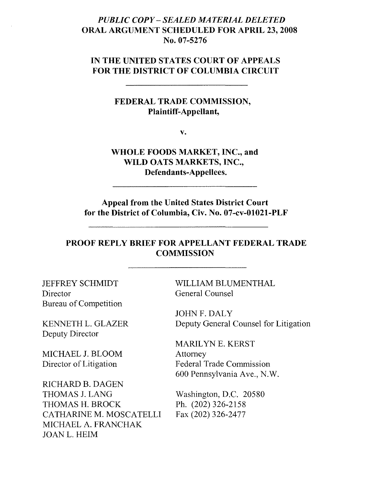### *PUBLIC COPY*- *SEALED MATERIAL DELETED*  ORAL ARGUMENT SCHEDULED FOR APRIL 23, 2008 No. 07-5276

#### IN THE UNITED STATES COURT OF APPEALS FOR THE DISTRICT OF COLUMBIA CIRCUIT

#### FEDERAL TRADE COMMISSION, Plaintiff-Appellant,

v.

WHOLE FOODS MARKET, INC., and WILD OATS MARKETS, INC., Defendants-Appellees.

Appeal from the United States District Court for the District of Columbia, Civ, No. 07-cv-0l021-PLF

#### PROOF REPLY BRIEF FOR APPELLANT FEDERAL TRADE **COMMISSION**

JEFFREY SCHMIDT Director Bureau of Competition

KENNETH L. GLAZER Deputy Director

MICHAEL J. BLOOM Director of Litigation

RICHARD B. DAGEN THOMAS J. LANG THOMAS H. BROCK CATHARINE M. MOSCATELLI MICHAEL A. FRANCHAK JOANL. HElM

WILLIAM BLUMENTHAL General Counsel

JOHNF.DALY Deputy General Counsel for Litigation

MARILYN E. KERST Attorney Federal Trade Commission 600 Pennsylvania Ave., N.W.

Washington, D.C. 20580 Ph. (202) 326-2158 Fax (202) 326-2477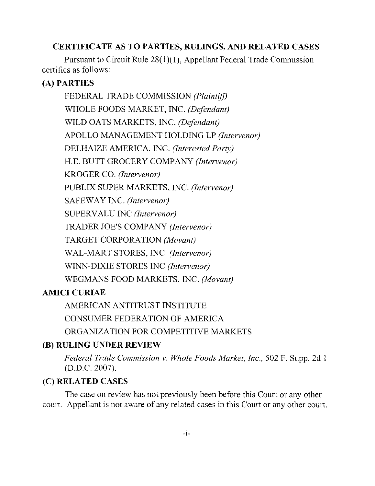## CERTIFICATE AS TO PARTIES, RULINGS, AND RELATED CASES

Pursuant to Circuit Rule 28(1)(1), Appellant Federal Trade Commission certifies as follows:

# (A) PARTIES

FEDERAL TRADE COMMISSION *(Plaintiff)*  WHOLE FOODS MARKET, INC. *(Defendant)*  WILD OATS MARKETS, INC. *(Defendant)*  APOLLO MANAGEMENT HOLDING LP *(Intervenor)*  DELHAIZE AMERICA. INC. *(Interested Party)*  H.E. BUTT GROCERY COMPANY *(Intervenor)* KROGER CO. *(Intervenor)*  PUBLIX SUPER MARKETS, INC. *(Intervenor)* SAFEWAY INC. *(Intervenor)* SUPERVALU INC *(Intervenor)* TRADER JOE'S COMPANY *(Intervenor)* TARGET CORPORATION *(Movant)* WAL-MART STORES, INC. *(Intervenor)* WINN-DIXIE STORES INC *(Intervenor)* WEGMANS FOOD MARKETS, INC. *(Movant)* 

# AMICI CURIAE

AMERICAN ANTITRUST INSTITUTE

CONSUMER FEDERATION OF AMERICA

ORGANIZATION FOR COMPETITIVE MARKETS

# (B) RULING UNDER REVIEW

*Federal Trade Commission v. Whole Foods Market, Inc.,* 502 F. Supp. 2d 1 (D.D.C. 2007).

# (C) RELATED CASES

The case on review has not previously been before this Court or any other court. Appellant is not aware of any related cases in this Court or any other court.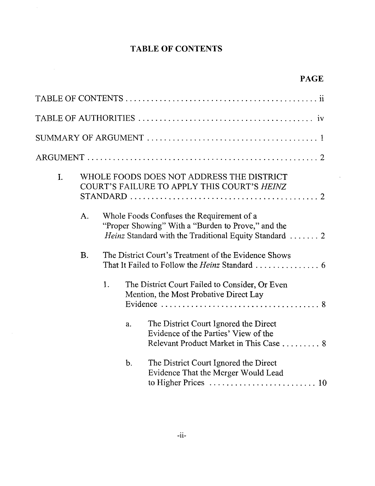# **TABLE OF CONTENTS**

 $\bar{\mathcal{A}}$ 

| I. |           |    |       | WHOLE FOODS DOES NOT ADDRESS THE DISTRICT<br>COURT'S FAILURE TO APPLY THIS COURT'S HEINZ                                                                  |
|----|-----------|----|-------|-----------------------------------------------------------------------------------------------------------------------------------------------------------|
|    | A.        |    |       | Whole Foods Confuses the Requirement of a<br>"Proper Showing" With a "Burden to Prove," and the<br>Heinz Standard with the Traditional Equity Standard  2 |
|    | <b>B.</b> |    |       | The District Court's Treatment of the Evidence Shows                                                                                                      |
|    |           | 1. |       | The District Court Failed to Consider, Or Even<br>Mention, the Most Probative Direct Lay                                                                  |
|    |           |    | a.    | The District Court Ignored the Direct<br>Evidence of the Parties' View of the<br>Relevant Product Market in This Case  8                                  |
|    |           |    | $b$ . | The District Court Ignored the Direct<br>Evidence That the Merger Would Lead                                                                              |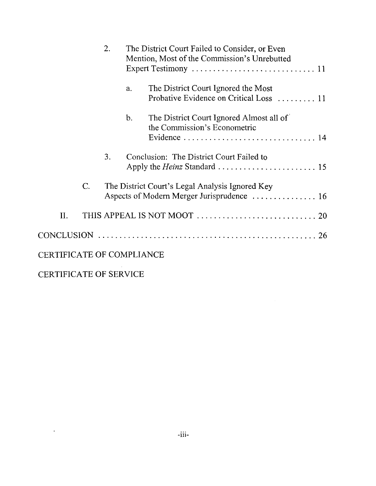|                                  |    | 2. | The District Court Failed to Consider, or Even<br>Mention, Most of the Commission's Unrebutted |                                                                                |  |  |
|----------------------------------|----|----|------------------------------------------------------------------------------------------------|--------------------------------------------------------------------------------|--|--|
|                                  |    |    | a.                                                                                             | The District Court Ignored the Most<br>Probative Evidence on Critical Loss  11 |  |  |
|                                  |    |    | $\mathbf{b}$ .                                                                                 | The District Court Ignored Almost all of<br>the Commission's Econometric       |  |  |
|                                  |    | 3. |                                                                                                | Conclusion: The District Court Failed to                                       |  |  |
|                                  | C. |    |                                                                                                | The District Court's Legal Analysis Ignored Key                                |  |  |
| II.                              |    |    |                                                                                                |                                                                                |  |  |
|                                  |    |    |                                                                                                |                                                                                |  |  |
| <b>CERTIFICATE OF COMPLIANCE</b> |    |    |                                                                                                |                                                                                |  |  |
| <b>CERTIFICATE OF SERVICE</b>    |    |    |                                                                                                |                                                                                |  |  |

 $\mathcal{L}^{\mathcal{L}}(\mathcal{L}^{\mathcal{L}}(\mathcal{L}^{\mathcal{L}}(\mathcal{L}^{\mathcal{L}}(\mathcal{L}^{\mathcal{L}}(\mathcal{L}^{\mathcal{L}}(\mathcal{L}^{\mathcal{L}}(\mathcal{L}^{\mathcal{L}}(\mathcal{L}^{\mathcal{L}}(\mathcal{L}^{\mathcal{L}}(\mathcal{L}^{\mathcal{L}}(\mathcal{L}^{\mathcal{L}}(\mathcal{L}^{\mathcal{L}}(\mathcal{L}^{\mathcal{L}}(\mathcal{L}^{\mathcal{L}}(\mathcal{L}^{\mathcal{L}}(\mathcal{L}^{\mathcal{L$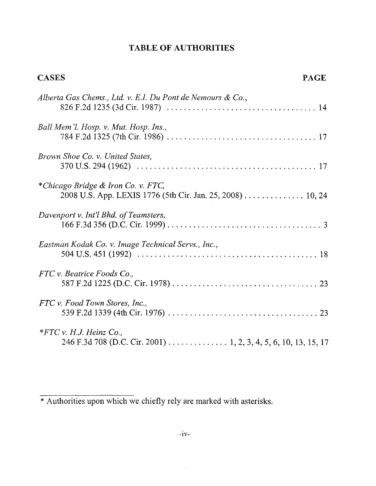# **TABLE OF AUTHORITIES**

| <b>CASES</b><br><b>PAGE</b>                                                                     |
|-------------------------------------------------------------------------------------------------|
| Alberta Gas Chems., Ltd. v. E.I. Du Pont de Nemours & Co.,                                      |
| Ball Mem'l. Hosp. v. Mut. Hosp. Ins.,                                                           |
| Brown Shoe Co. v. United States,                                                                |
| *Chicago Bridge & Iron Co. v. FTC,<br>2008 U.S. App. LEXIS 1776 (5th Cir. Jan. 25, 2008) 10, 24 |
| Davenport v. Int'l Bhd. of Teamsters,                                                           |
| Eastman Kodak Co. v. Image Technical Servs., Inc.,                                              |
| FTC v. Beatrice Foods Co                                                                        |
| FTC v. Food Town Stores, Inc.,                                                                  |
| $*FTC$ v. H.J. Heinz Co.,<br>246 F.3d 708 (D.C. Cir. 2001) 1, 2, 3, 4, 5, 6, 10, 13, 15, 17     |

 $\hat{\boldsymbol{\epsilon}}$ 

<sup>\*</sup> Authorities upon which we chiefly rely are marked with asterisks.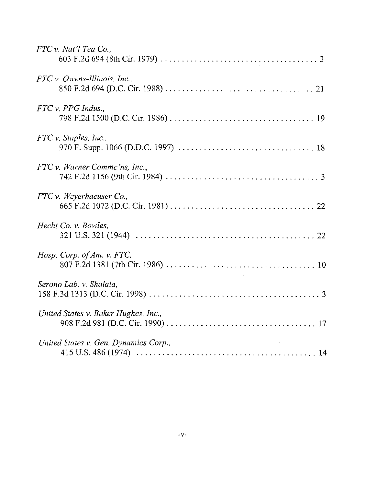| FTC v. Nat'l Tea Co.,                 |
|---------------------------------------|
| $FTC$ v. Owens-Illinois, Inc.,        |
| $FTC v. PPG$ Indus.,                  |
| FTC v. Staples, Inc.,                 |
| FTC v. Warner Commc'ns, Inc.,         |
| FTC v. Weyerhaeuser Co.,              |
| Hecht Co. v. Bowles,                  |
| Hosp. Corp. of Am. v. FTC,            |
| Serono Lab. v. Shalala,               |
| United States v. Baker Hughes, Inc.,  |
| United States v. Gen. Dynamics Corp., |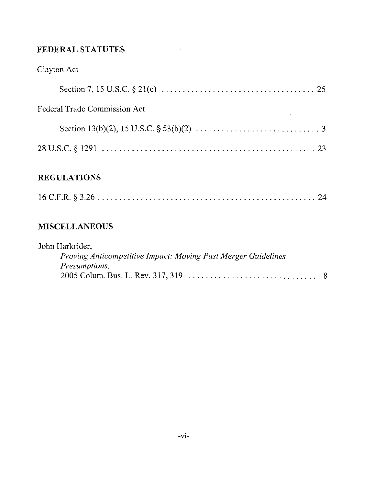# **FEDERAL STATUTES**

# Clayton Act

| <b>Federal Trade Commission Act</b><br>the contract of the contract of the con- |  |
|---------------------------------------------------------------------------------|--|
|                                                                                 |  |
|                                                                                 |  |

# **REGULATIONS**

|--|--|--|--|--|--|--|--|--|

# **MISCELLANEOUS**

| John Harkrider,                                               |
|---------------------------------------------------------------|
| Proving Anticompetitive Impact: Moving Past Merger Guidelines |
| <i>Presumptions,</i>                                          |
|                                                               |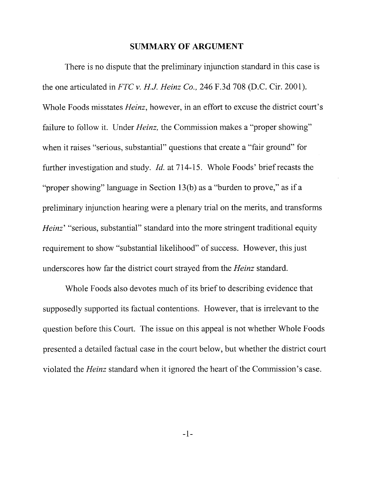#### **SUMMARY OF ARGUMENT**

There is no dispute that the preliminary injunction standard in this case is the one articulated in *FTC* v. *Hi. Heinz Co.,* 246 F.3d 708 (D.C. Cir. 2001). Whole Foods misstates *Heinz,* however, in an effort to excuse the district court's failure to follow it. Under *Heinz*, the Commission makes a "proper showing" when it raises "serious, substantial" questions that create a "fair ground" for further investigation and study. *!d.* at 714-15. Whole Foods' briefrecasts the "proper showing" language in Section 13(b) as a "burden to prove," as if a preliminary injunction hearing were a plenary trial on the merits, and transforms *Heinz'* "serious, substantial" standard into the more stringent traditional equity requirement to show "substantial likelihood" of success. However, this just underscores how far the district court strayed from the *Heinz* standard.

Whole Foods also devotes much of its brief to describing evidence that supposedly supported its factual contentions. However, that is irrelevant to the question before this Court. The issue on this appeal is not whether Whole Foods presented a detailed factual case in the court below, but whether the district court violated the *Heinz* standard when it ignored the heart of the Commission's case.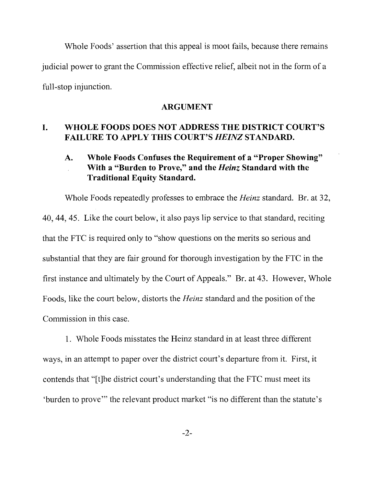Whole Foods' assertion that this appeal is moot fails, because there remains judicial power to grant the Commission effective relief, albeit not in the form of a full-stop injunction.

#### **ARGUMENT**

### **I. WHOLE FOODS DOES NOT ADDRESS THE DISTRICT COURT'S FAILURE TO APPLY THIS COURT'S** *HEINZ* **STANDARD.**

## **A. Whole Foods Confuses the Requirement of a "Proper Showing" With a "Burden to Prove," and the** *Heinz* **Standard with the Traditional Equity Standard.**

Whole Foods repeatedly professes to embrace the *Heinz* standard. Br. at 32, 40,44,45. Like the court below, it also pays lip service to that standard, reciting that the FTC is required only to "show questions on the merits so serious and substantial that they are fair ground for thorough investigation by the FTC in the first instance and ultimately by the Court of Appeals." Br. at 43. However, Whole Foods, like the court below, distorts the *Heinz* standard and the position of the Commission in this case.

1. Whole Foods misstates the Heinz standard in at least three different ways, in an attempt to paper over the district court's departure from it. First, it contends that "[t]he district court's understanding that the FTC must meet its 'burden to prove" the relevant product market "is no different than the statute's

 $-2-$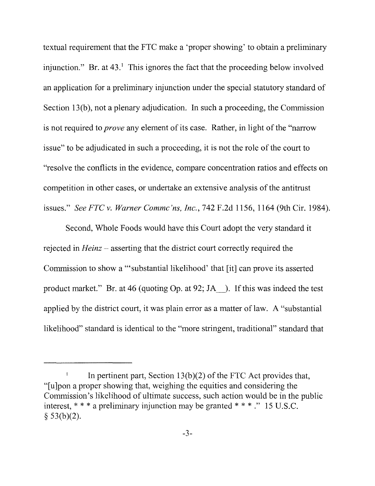textual requirement that the FTC make a 'proper showing' to obtain a preliminary injunction." Br. at  $43.1$  This ignores the fact that the proceeding below involved an application for a preliminary injunction under the special statutory standard of Section l3(b), not a plenary adjudication. In such a proceeding, the Commission is not required to *prove* any element of its case. Rather, in light of the "narrow issue" to be adjudicated in such a proceeding, it is not the role of the court to "resolve the conflicts in the evidence, compare concentration ratios and effects on competition in other cases, or undertake an extensive analysis of the antitrust issues." *SeeFTCv. Warner Commc'ns, Inc.,* 742F.2d 1156, 1164 (9thCir. 1984).

Second, Whole Foods would have this Court adopt the very standard it rejected in *Heinz* – asserting that the district court correctly required the Commission to show a '''substantial likelihood' that [it] can prove its asserted product market." Br. at 46 (quoting Op. at 92; JA\_\_). If this was indeed the test applied by the district court, it was plain error as a matter of law. A "substantial likelihood" standard is identical to the "more stringent, traditional" standard that

In pertinent part, Section  $13(b)(2)$  of the FTC Act provides that, "[ujpon a proper showing that, weighing the equities and considering the Commission's likelihood of ultimate success, such action would be in the public interest, \* \* \* a preliminary injunction may be granted \* \* \*." 15 U.S.C.  $§$  53(b)(2).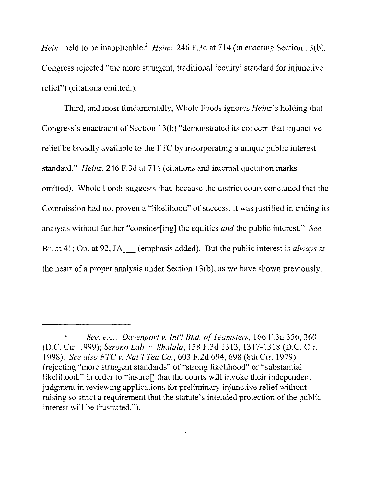*Heinz* held to be inapplicable.<sup>2</sup> *Heinz*, 246 F.3d at 714 (in enacting Section 13(b), Congress rejected "the more stringent, traditional 'equity' standard for injunctive relief') (citations omitted.).

Third, and most fundamentally, Whole Foods ignores *Heinz's* holding that Congress's enactment of Section 13(b) "demonstrated its concern that injunctive relief be broadly available to the FTC by incorporating a unique public interest standard." *Heinz,* 246 F.3d at 714 (citations and internal quotation marks omitted). Whole Foods suggests that, because the district court concluded that the Commission had not proven a "likelihood" of success, it was justified in ending its analysis without further "consider[ing] the equities *and* the public interest." *See*  Br. at 41; Op. at 92, JA\_ (emphasis added). But the public interest is *always* at the heart of a proper analysis under Section l3(b), as we have shown previously.

*<sup>2</sup> See, e.g., Davenport v. Int'l Bhd. of Teamsters, 166 F.3d 356, 360* (D.C. Cir. 1999); *Serono Lab.* v. *Shalala,* 158 F.3d 1313, 1317-1318 (D.C. Cir. *1998). See also FTC* v. *Nat 'I Tea Co.,* 603 F.2d 694, 698 (8th Cir. 1979) (rejecting "more stringent standards" of "strong likelihood" or "substantial likelihood," in order to "insure[] that the courts will invoke their independent judgment in reviewing applications for preliminary injunctive relief without raising so strict a requirement that the statute's intended protection of the public interest will be frustrated.").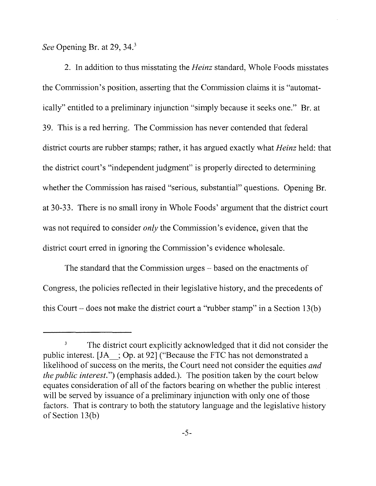*See* Opening Br. at 29, 34.<sup>3</sup>

2. In addition to thus misstating the *Heinz* standard, Whole Foods misstates the Commission's position, asserting that the Commission claims it is "automatically" entitled to a preliminary injunction "simply because it seeks one." Br. at 39. This is a red herring. The Commission has never contended that federal district courts are rubber stamps; rather, it has argued exactly what *Heinz* held: that the district court's "independent judgment" is properly directed to determining whether the Commission has raised "serious, substantial" questions. Opening Br. at 30-33. There is no small irony in Whole Foods' argument that the district court was not required to consider *only* the Commission's evidence, given that the district court erred in ignoring the Commission's evidence wholesale.

The standard that the Commission urges – based on the enactments of Congress, the policies reflected in their legislative history, and the precedents of this Court – does not make the district court a "rubber stamp" in a Section 13(b)

<sup>&</sup>lt;sup>3</sup> The district court explicitly acknowledged that it did not consider the public interest. [JA\_; Op. at 92] ("Because the FTC has not demonstrated a likelihood of success on the merits, the Court need not consider the equities *and the public interest.")* (emphasis added.). The position taken by the court below equates consideration of all of the factors bearing on whether the public interest will be served by issuance of a preliminary injunction with only one of those factors. That is contrary to both the statutory language and the legislative history of Section l3(b)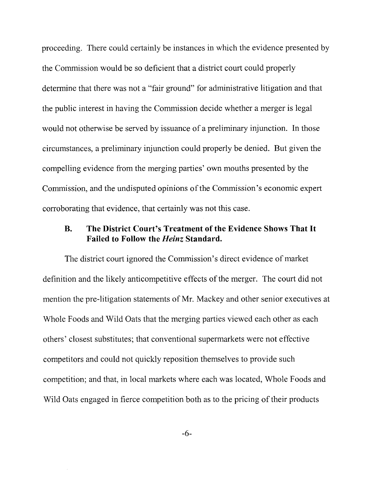proceeding. There could certainly be instances in which the evidence presented by the Commission would be so deficient that a district court could properly determine that there was not a "fair ground" for administrative litigation and that the public interest in having the Commission decide whether a merger is legal would not otherwise be served by issuance of a preliminary injunction. In those circumstances, a preliminary injunction could properly be denied. But given the compelling evidence from the merging parties' own mouths presented by the Commission, and the undisputed opinions of the Commission's economic expert corroborating that evidence, that certainly was not this case.

## **B. The District Court's Treatment of the Evidence Shows That It Failed to Follow the** *Heinz* **Standard.**

The district court ignored the Commission's direct evidence of market definition and the likely anticompetitive effects of the merger. The court did not mention the pre-litigation statements of Mr. Mackey and other senior executives at Whole Foods and Wild Oats that the merging parties viewed each other as each others' closest substitutes; that conventional supermarkets were not effective competitors and could not quickly reposition themselves to provide such competition; and that, in local markets where each was located, Whole Foods and Wild Oats engaged in fierce competition both as to the pricing of their products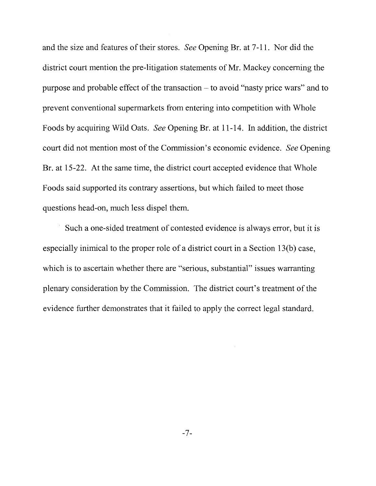and the size and features of their stores. *See* Opening Br. at 7-11. Nor did the district court mention the pre-litigation statements of Mr. Mackey concerning the purpose and probable effect of the transaction - to avoid "nasty price wars" and to prevent conventional supermarkets from entering into competition with Whole Foods by acquiring Wild Oats. *See* Opening Br. at 11-14. In addition, the district court did not mention most of the Commission's economic evidence. *See* Opening Br. at 15-22. At the same time, the district court accepted evidence that Whole Foods said supported its contrary assertions, but which failed to meet those questions head-on, much less dispel them.

Such a one-sided treatment of contested evidence is always error, but it is especially inimical to the proper role of a district court in a Section 13(b) case, which is to ascertain whether there are "serious, substantial" issues warranting plenary consideration by the Commission. The district court's treatment of the evidence further demonstrates that it failed to apply the correct legal standard.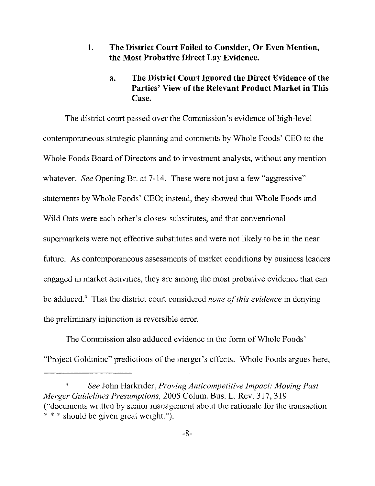#### **1. The District Court Failed to Consider, Or Even Mention, the Most Probative Direct Lay Evidence.**

## **a. The District Court Ignored the Direct Evidence of the Parties' View** of the **Relevant Product Market in This Case.**

The district court passed over the Commission's evidence of high-level contemporaneous strategic planning and comments by Whole Foods' CEO to the Whole Foods Board of Directors and to investment analysts, without any mention whatever. *See* Opening Br. at 7-14. These were not just a few "aggressive" statements by Whole Foods' CEO; instead, they showed that Whole Foods and Wild Oats were each other's closest substitutes, and that conventional supermarkets were not effective substitutes and were not likely to be in the near future. As contemporaneous assessments of market conditions by business leaders engaged in market activities, they are among the most probative evidence that can be adduced.<sup>4</sup> That the district court considered *none of this evidence* in denying the preliminary injunction is reversible error.

The Commission also adduced evidence in the form of Whole Foods' "Project Goldmine" predictions of the merger's effects. Whole Foods argues here,

<sup>4</sup>*See* John Harkrider, *Proving Anticompetitive Impact: Moving Past Merger Guidelines Presumptions,* 2005 Colum. Bus. L. Rev. 317, 319 ("documents written by senior management about the rationale for the transaction \* \* \* should be given great weight.").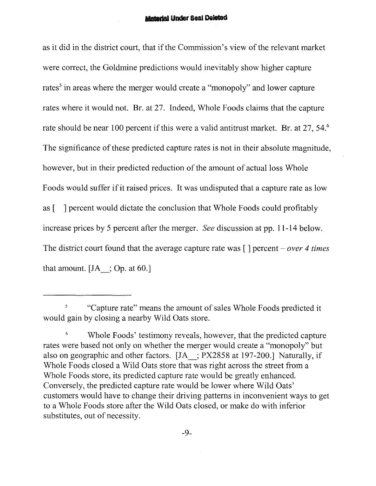#### **Material Under Seal Deleted**

as it did in the district court, that if the Commission's view of the relevant market were correct, the Goldmine predictions would inevitably show higher capture rates' in areas where the merger would create a "monopoly" and lower capture rates where it would not. Br. at 27. Indeed, Whole Foods claims that the capture rate should be near 100 percent if this were a valid antitrust market. Br. at 27, 54.<sup>6</sup> The significance of these predicted capture rates is not in their absolute magnitude, however, but in their predicted reduction of the amount of actual loss Whole Foods would suffer if it raised prices. It was undisputed that a capture rate as low as [ ] percent would dictate the conclusion that Whole Foods could profitably increase prices by 5 percent after the merger. *See* discussion at pp. 11-14 below. The district court found that the average capture rate was [ ] percent - *over* 4 *times*  that amount.  $[JA; Op. at 60.]$ 

<sup>5</sup> "Capture rate" means the amount of sales Whole Foods predicted it would gain by closing a nearby Wild Oats store.

Whole Foods' testimony reveals, however, that the predicted capture rates were based not only on whether the merger would create a "monopoly" but also on geographic and other factors. [JA\_; PX2858 at 197-200.] Naturally, if Whole Foods closed a Wild Oats store that was right across the street from a Whole Foods store, its predicted capture rate would be greatly enhanced. Conversely, the predicted capture rate would be lower where Wild Oats' customers would have to change their driving patterns in inconvenient ways to get to a Whole Foods store after the Wild Oats closed, or make do with inferior substitutes, out of necessity.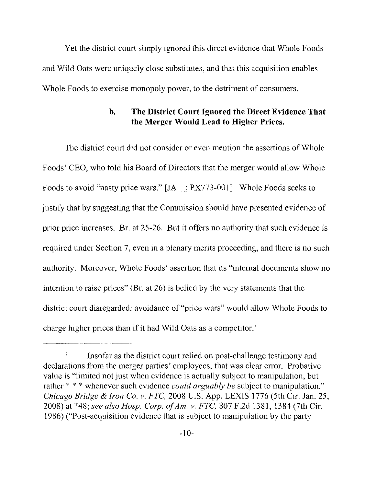Yet the district court simply ignored this direct evidence that Whole Foods and Wild Oats were uniquely close substitutes, and that this acquisition enables Whole Foods to exercise monopoly power, to the detriment of consumers.

## **b. The District Court Ignored the Direct Evidence That the Merger Would Lead to** Higher Prices.

The district court did not consider or even mention the assertions of Whole Foods' CEO, who told his Board of Directors that the merger would allow Whole Foods to avoid "nasty price wars." [JA : PX773-001] Whole Foods seeks to justify that by suggesting that the Commission should have presented evidence of prior price increases. Br. at 25-26. But it offers no authority that such evidence is required under Section 7, even in a plenary merits proceeding, and there is no such authority. Moreover, Whole Foods' assertion that its "internal documents show no intention to raise prices" (Br. at 26) is belied by the very statements that the district court disregarded: avoidance of "price wars" would allow Whole Foods to charge higher prices than if it had Wild Oats as a competitor."

<sup>&</sup>lt;sup>7</sup> Insofar as the district court relied on post-challenge testimony and declarations from the merger parties' employees, that was clear error. Probative value is "limited not just when evidence is actually subject to manipulation, but rather \* \* \* whenever such evidence *could arguably be* subject to manipulation." *Chicago Bridge* & *Iron Co.* v. *FTC,* 2008 U.S. App. LEXIS 1776 (5th Cir. Jan. 25, 2008) at \*48; *see also Hasp. Corp. ofAm.* v. *FTC,* 807 F.2d 1381, 1384 (7th Cir. 1986) ("Post-acquisition evidence that is subject to manipulation by the party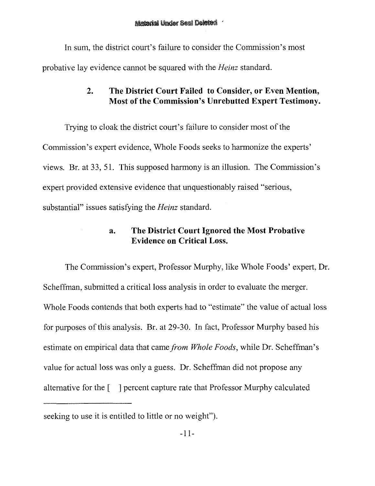In sum, the district court's failure to consider the Commission's most probative lay evidence cannot be squared with the *Heinz* standard.

## **2. The District Court Failed to Consider, or Even Mention, Most of the Commission's Unrebutted Expert Testimony.**

Trying to cloak the district court's failure to consider most of the Commission's expert evidence, Whole Foods seeks to harmonize the experts' views. Br. at 33, 51. This supposed harmony is an illusion. The Commission's expert provided extensive evidence that unquestionably raised "serious, substantial" issues satisfying the *Heinz* standard.

## **a. The District Court Ignored the Most Probative Evidence on Critical Loss.**

The Commission's expert, Professor Murphy, like Whole Foods' expert, Dr. Scheffman, submitted a critical loss analysis in order to evaluate the merger. Whole Foods contends that both experts had to "estimate" the value of actual loss for purposes of this analysis. Br. at 29-30. In fact, Professor Murphy based his estimate on empirical data that came *from Whole Foods,* while Dr. Scheffman's value for actual loss was only a guess. Dr. Scheffman did not propose any alternative for the [ ] percent capture rate that Professor Murphy calculated

seeking to use it is entitled to little or no weight").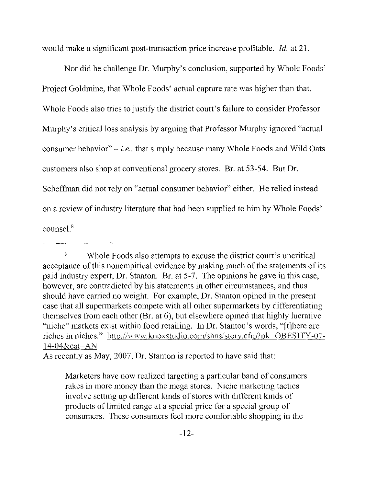would make a significant post-transaction price increase profitable. *Id.* at 21.

Nor did he challenge Dr. Murphy's conclusion, supported by Whole Foods' Project Goldmine, that Whole Foods' actual capture rate was higher than that. Whole Foods also tries to justify the district court's failure to consider Professor Murphy's critical loss analysis by arguing that Professor Murphy ignored "actual consumer behavior" - *i.e.,* that simply because many Whole Foods and Wild Oats customers also shop at conventional grocery stores. Br. at 53-54. But Dr. Scheffman did not rely on "actual consumer behavior" either. He relied instead on a review of industry literature that had been supplied to him by Whole Foods' counsel.<sup>8</sup>

As recently as May, 2007, Dr. Stanton is reported to have said that:

<sup>&</sup>lt;sup>8</sup> Whole Foods also attempts to excuse the district court's uncritical acceptance of this nonempirical evidence by making much of the statements of its paid industry expert, Dr. Stanton. Br. at 5-7. The opinions he gave in this case, however, are contradicted by his statements in other circumstances, and thus should have carried no weight. For example, Dr. Stanton opined in the present case that all supermarkets compete with all other supermarkets by differentiating themselves from each other (Br. at 6), but elsewhere opined that highly lucrative "niche" markets exist within food retailing. In Dr. Stanton's words, "[t]here are riches in niches." http://www.knoxstudio.com/shns/story.cfm?pk=OBESlTY-07 14-04&cat=AN

Marketers have now realized targeting a particular band of consumers rakes in more money than the mega stores. Niche marketing tactics involve setting up different kinds of stores with different kinds of products of limited range at a special price for a special group of consumers. These consumers feel more comfortable shopping in the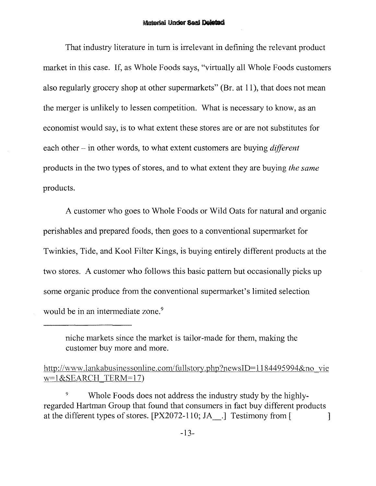#### Material Under Saal Deleted

That industry literature in tum is irrelevant in defining the relevant product market in this case. If, as Whole Foods says, "virtually all Whole Foods customers also regularly grocery shop at other supermarkets" (Br. at 11), that does not mean the merger is unlikely to lessen competition. What is necessary to know, as an economist would say, is to what extent these stores are or are not substitutes for each other - in other words, to what extent customers are buying *different*  products in the two types of stores, and to what extent they are buying *the same*  products.

A customer who goes to Whole Foods or Wild Oats for natural and organic perishables and prepared foods, then goes to a conventional supermarket for Twinkies, Tide, and Kool Filter Kings, is buying entirely different products at the two stores. A customer who follows this basic pattern but occasionally picks up some organic produce from the conventional supermarket's limited selection would be in an intermediate zone.<sup>9</sup>

9 Whole Foods does not address the industry study by the highlyregarded Hartman Group that found that consumers in fact buy different products at the different types of stores.  $[PX2072-110; JA$ . Testimony from  $\lceil$ 

niche markets since the market is tailor-made for them, making the customer buy more and more.

http://www.lankabusinessonline.com/fullstory.php?newsID=1184495994&no vie w=I&SEARCH TERM=17)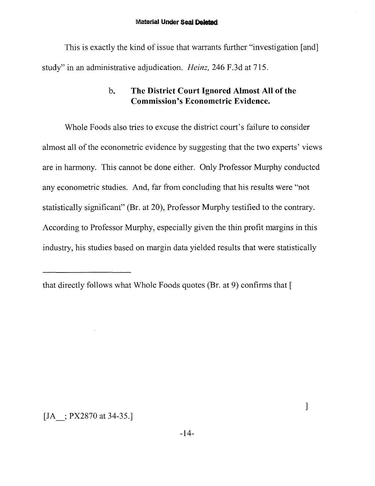This is exactly the kind of issue that warrants further "investigation [and] study" in an administrative adjudication. *Heinz,* 246 F.3d at 715.

## **b. The District Court Ignored Almost All of the Commission's Econometric Evidence.**

Whole Foods also tries to excuse the district court's failure to consider almost all of the econometric evidence by suggesting that the two experts' views are in harmony. This cannot be done either. Only Professor Murphy conducted any econometric studies. And, far from concluding that his results were "not statistically significant" (Br. at 20), Professor Murphy testified to the contrary. According to Professor Murphy, especially given the thin profit margins in this industry, his studies based on margin data yielded results that were statistically

[JA ; PX2870 at 34-35.]

]

that directly follows what Whole Foods quotes (Br. at 9) confirms that [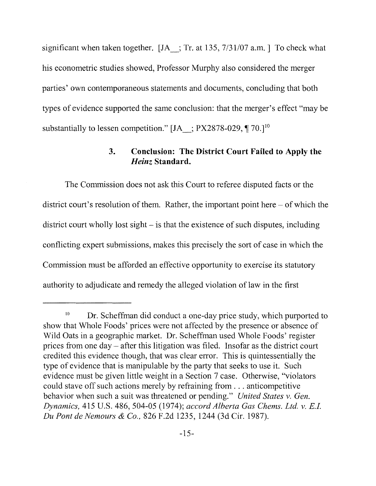significant when taken together.  $[IA_$ ; Tr. at 135, 7/31/07 a.m. To check what his econometric studies showed, Professor Murphy also considered the merger parties' own contemporaneous statements and documents, concluding that both types of evidence supported the same conclusion: that the merger's effect "may be substantially to lessen competition." [JA : PX2878-029,  $\P$  70.]<sup>10</sup>

## **3. Conclusion: The District Court Failed to Apply the**  *Heinz* **Standard.**

The Commission does not ask this Court to referee disputed facts or the district court's resolution of them. Rather, the important point here  $-$  of which the district court wholly lost sight – is that the existence of such disputes, including conflicting expert submissions, makes this precisely the sort of case in which the Commission must be afforded an effective opportunity to exercise its statutory authority to adjudicate and remedy the alleged violation of law in the first

<sup>&</sup>lt;sup>10</sup> Dr. Scheffman did conduct a one-day price study, which purported to show that Whole Foods' prices were not affected by the presence or absence of Wild Oats in a geographic market. Dr. Scheffman used Whole Foods' register prices from one day - after this litigation was filed. Insofar as the district court credited this evidence though, that was clear error. This is quintessentially the type of evidence that is manipulable by the party that seeks to use it. Such evidence must be given little weight in a Section 7 case. Otherwise, "violators could stave off such actions merely by refraining from ... anticompetitive behavior when such a suit was threatened or pending." *United States* v. *Gen. Dynamics,* 415 U.S. 486, 504-05 (1974); *accord Alberta Gas Chems. Ltd.* v. *E.I. Du Pont de Nemours* & *Co.,* 826 F.2d 1235, 1244 (3d Cir. 1987).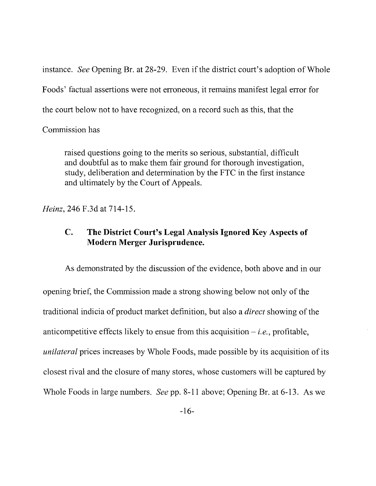instance. *See* Opening Br. at 28-29. Even if the district court's adoption of Whole Foods' factual assertions were not erroneous, it remains manifest legal error for the court below not to have recognized, on a record such as this, that the

#### Commission has

raised questions going to the merits so serious, substantial, difficult and doubtful as to make them fair ground for thorough investigation, study, deliberation and determination by the FTC in the first instance and ultimately by the Court of Appeals.

*Heinz,* 246 F.3d at 714-15.

## **C. The District Court's Legal Analysis Ignored Key Aspects of Modern Merger Jurisprudence.**

As demonstrated by the discussion of the evidence, both above and in our opening brief, the Commission made a strong showing below not only of the traditional indicia of product market definition, but also a *direct* showing of the anticompetitive effects likely to ensue from this acquisition  $-i.e.,$  profitable, *unilateral* prices increases by Whole Foods, made possible by its acquisition of its closest rival and the closure of many stores, whose customers will be captured by Whole Foods in large numbers. *See* pp. 8-11 above; Opening Br. at 6-13. As we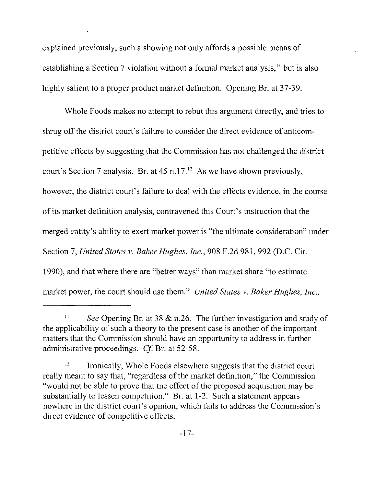explained previously, such a showing not only affords a possible means of establishing a Section 7 violation without a formal market analysis,<sup>11</sup> but is also highly salient to a proper product market definition. Opening Br. at 37-39.

Whole Foods makes no attempt to rebut this argument directly, and tries to shrug off the district court's failure to consider the direct evidence of anticompetitive effects by suggesting that the Commission has not challenged the district court's Section 7 analysis. Br. at  $45$  n.17.<sup>12</sup> As we have shown previously, however, the district court's failure to deal with the effects evidence, in the course of its market definition analysis, contravened this Court's instruction that the merged entity's ability to exert market power is "the ultimate consideration" under Section 7, *United States* v. *Baker Hughes, Inc.,* 908 F.2d 981, 992 (D.C. Cir. 1990), and that where there are "better ways" than market share "to estimate market power, the court should use them." *United States* v. *Baker Hughes, Inc.,* 

<sup>&</sup>lt;sup>11</sup> See Opening Br. at 38 & n.26. The further investigation and study of the applicability of such a theory to the present case is another of the important matters that the Commission should have an opportunity to address in further administrative proceedings. *Cf.* Br. at 52-58.

 $12$  Ironically, Whole Foods elsewhere suggests that the district court really meant to say that, "regardless of the market definition," the Commission "would not be able to prove that the effect of the proposed acquisition may be substantially to lessen competition." Br. at 1-2. Such a statement appears nowhere in the district court's opinion, which fails to address the Commission's direct evidence of competitive effects.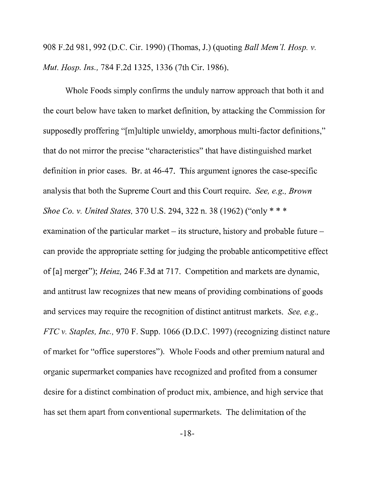908 F.2d 981, 992 (D.C. Cir. 1990) (Thomas, J.) (quoting *Ball Mem'l. Hasp.* v. *Mut. Hasp. Ins.,* 784 F.2d 1325, 1336 (7th Cir. 1986).

Whole Foods simply confirms the unduly narrow approach that both it and the court below have taken to market definition, by attacking the Commission for supposedly proffering "[m]ultiple unwieldy, amorphous multi-factor definitions," that do not mirror the precise "characteristics" that have distinguished market definition in prior cases. Br. at 46-47. This argument ignores the case-specific analysis that both the Supreme Court and this Court require. *See, e.g., Brown Shoe Co.* v. *United States,* 370 u.S. 294, 322 n. 38 (1962) ("only \* \* \* examination of the particular market  $-$  its structure, history and probable future  $$ can provide the appropriate setting for judging the probable anticompetitive effect of [a] merger"); *Heinz,* 246 F.3d at 717. Competition and markets are dynamic, and antitrust law recognizes that new means of providing combinations of goods and services may require the recognition of distinct antitrust markets. *See, e.g., FTC* v. *Staples, Inc.,* 970 F. Supp. 1066 (D.D.C. 1997) (recognizing distinct nature of market for "office superstores"). Whole Foods and other premium natural and organic supermarket companies have recognized and profited from a consumer desire for a distinct combination of product mix, ambience, and high service that has set them apart from conventional supermarkets. The delimitation of the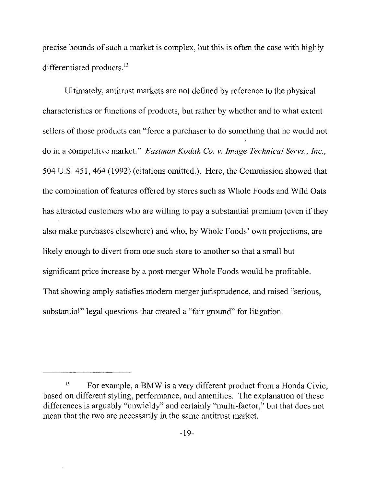precise bounds of such a market is complex, but this is often the case with highly differentiated products.<sup>13</sup>

Ultimately, antitrust markets are not defined by reference to the physical characteristics or functions of products, but rather by whether and to what extent sellers of those products can "force a purchaser to do something that he would not do in a competitive market." *Eastman Kodak Co. v. Image Technical Servs., Inc.,*  504 U.S. 451, 464 (1992) (citations omitted.). Here, the Commission showed that the combination of features offered by stores such as Whole Foods and Wild Oats has attracted customers who are willing to pay a substantial premium (even if they also make purchases elsewhere) and who, by Whole Foods' own projections, are likely enough to divert from one such store to another so that a small but significant price increase by a post-merger Whole Foods would be profitable. That showing amply satisfies modem merger jurisprudence, and raised "serious, substantial" legal questions that created a "fair ground" for litigation.

<sup>&</sup>lt;sup>13</sup> For example, a BMW is a very different product from a Honda Civic, based on different styling, performance, and amenities. The explanation of these differences is arguably "unwieldy" and certainly "multi-factor," but that does not mean that the two are necessarily in the same antitrust market.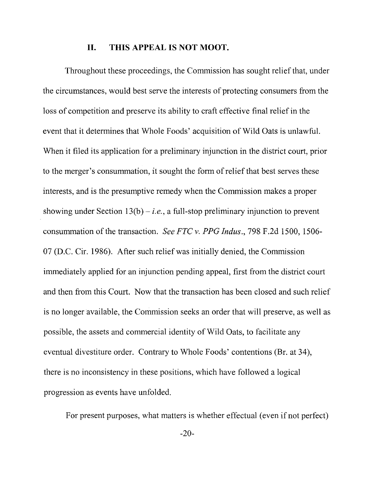#### **II. THIS APPEAL IS NOT MOOT.**

Throughout these proceedings, the Commission has sought relief that, under the circumstances, would best serve the interests of protecting consumers from the loss of competition and preserve its ability to craft effective final relief in the event that it determines that Whole Foods' acquisition of Wild Oats is unlawful. When it filed its application for a preliminary injunction in the district court, prior to the merger's consummation, it sought the form of relief that best serves these interests, and is the presumptive remedy when the Commission makes a proper showing under Section  $13(b) - i.e.,$  a full-stop preliminary injunction to prevent consummation of the transaction. *See FTC v. PPG Indus.,* 798 F.2d 1500, 1506 07 (D.C. Cir. 1986). After such relief was initially denied, the Commission immediately applied for an injunction pending appeal, first from the district court and then from this Court. Now that the transaction has been closed and such relief is no longer available, the Commission seeks an order that will preserve, as well as possible, the assets and commercial identity of Wild Oats, to facilitate any eventual divestiture order. Contrary to Whole Foods' contentions (Br. at 34), there is no inconsistency in these positions, which have followed a logical progression as events have unfolded.

For present purposes, what matters is whether effectual (even if not perfect)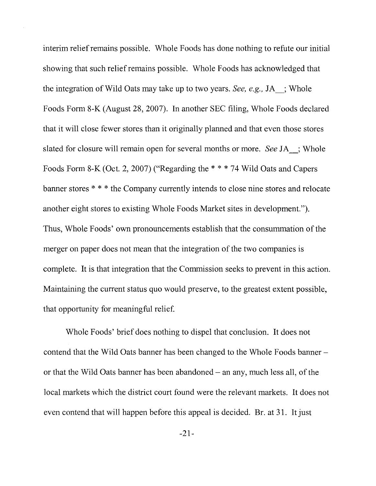interim relief remains possible. Whole Foods has done nothing to refute our initial showing that such relief remains possible. Whole Foods has acknowledged that the integration of Wild Oats may take up to two years. *See, e.g.,* JA\_; Whole Foods Form 8-K (August 28,2007). In another SEC filing, Whole Foods declared that it will close fewer stores than it originally planned and that even those stores slated for closure will remain open for several months or more. *See* JA\_; Whole Foods Form 8-K (Oct. 2, 2007) ("Regarding the \* \* \* 74 Wild Oats and Capers banner stores \* \* \* the Company currently intends to close nine stores and relocate another eight stores to existing Whole Foods Market sites in development."). Thus, Whole Foods' own pronouncements establish that the consummation of the merger on paper does not mean that the integration of the two companies is complete. It is that integration that the Commission seeks to prevent in this action. Maintaining the current status quo would preserve, to the greatest extent possible, that opportunity for meaningful relief.

Whole Foods' brief does nothing to dispel that conclusion. It does not contend that the Wild Oats banner has been changed to the Whole Foods banneror that the Wild Oats banner has been abandoned - an any, much less all, of the local markets which the district court found were the relevant markets. It does not even contend that will happen before this appeal is decided. Br. at 31. It just

 $-21-$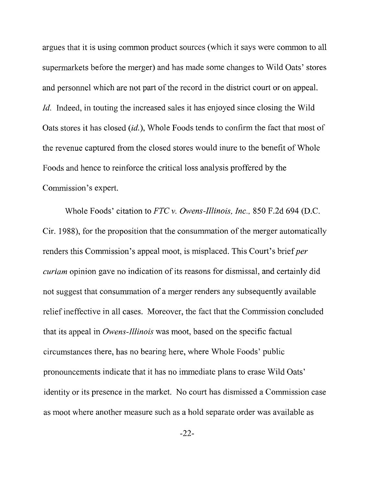argues that it is using common product sources (which it says were common to all supermarkets before the merger) and has made some changes to Wild Oats' stores and personnel which are not part of the record in the district court or on appeal. *Id.* Indeed, in touting the increased sales it has enjoyed since closing the Wild Oats stores it has closed *(id.)*, Whole Foods tends to confirm the fact that most of the revenue captured from the closed stores would inure to the benefit of Whole Foods and hence to reinforce the critical loss analysis proffered by the Commission's expert.

Whole Foods' citation to *FTC* v. *Owens-Illinois, Inc.,* 850 F.2d 694 (D.C. Cir. 1988), for the proposition that the consummation of the merger automatically renders this Commission's appeal moot, is misplaced. This Court's brief*per curiam* opinion gave no indication of its reasons for dismissal, and certainly did not suggest that consummation of a merger renders any subsequently available relief ineffective in all cases. Moreover, the fact that the Commission concluded that its appeal in *Owens-Illinois* was moot, based on the specific factual circumstances there, has no bearing here, where Whole Foods' public pronouncements indicate that it has no immediate plans to erase Wild Oats' identity or its presence in the market. No court has dismissed a Commission case as moot where another measure such as a hold separate order was available as

 $-22-$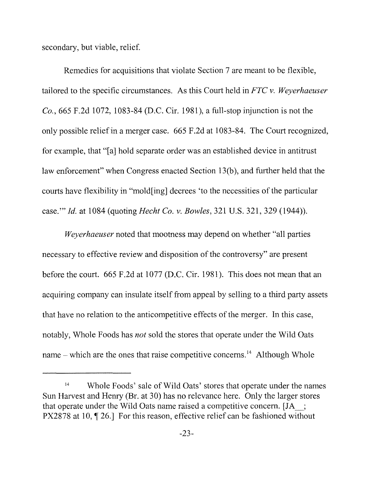secondary, but viable, relief.

Remedies for acquisitions that violate Section 7 are meant to be flexible, tailored to the specific circumstances. As this Court held in *FTC* v. *Weyerhaeuser Co.,* 665 F.2d 1072, 1083-84 (D.C. Cir. 1981), a full-stop injunction is not the only possible relief in a merger case. 665 F.2d at 1083-84. The Court recognized, for example, that "[a] hold separate order was an established device in antitrust law enforcement" when Congress enacted Section 13(b), and further held that the courts have flexibility in "mold[ing] decrees 'to the necessities of the particular case.'" *!d.* at 1084 (quoting *Hecht Co.* v. *Bowles,* 321 U.S. 321, 329 (1944».

*Weyerhaeuser* noted that mootness may depend on whether "all parties necessary to effective review and disposition of the controversy" are present before the court. 665 F.2d at 1077 (D.C. Cir. 1981). This does not mean that an acquiring company can insulate itself from appeal by selling to a third party assets that have no relation to the anticompetitive effects of the merger. In this case, notably, Whole Foods has *not* sold the stores that operate under the Wild Oats name – which are the ones that raise competitive concerns.<sup>14</sup> Although Whole

<sup>&</sup>lt;sup>14</sup> Whole Foods' sale of Wild Oats' stores that operate under the names Sun Harvest and Henry (Br. at 30) has no relevance here. Only the larger stores that operate under the Wild Oats name raised a competitive concern. [JA : PX2878 at 10,  $\P$  26.] For this reason, effective relief can be fashioned without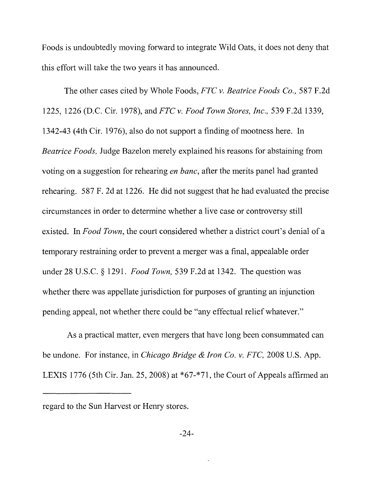Foods is undoubtedly moving forward to integrate Wild Oats, it does not deny that this effort will take the two years it has announced.

The other cases cited by Whole Foods, *FTC v. Beatrice Foods Co.,* 587 F.2d 1225, 1226 (D.C. Cir. 1978), and *FTC v. Food Town Stores, Inc.,* 539 F.2d 1339, 1342-43 (4th Cir. 1976), also do not support a finding of mootness here. In *Beatrice Foods,* Judge Bazelon merely explained his reasons for abstaining from voting on a suggestion for rehearing *en bane,* after the merits panel had granted rehearing. 587 F. 2d at 1226. He did not suggest that he had evaluated the precise circumstances in order to determine whether a live case or controversy still existed. In *Food Town,* the court considered whether a district court's denial of a temporary restraining order to prevent a merger was a final, appealable order under 28 u.s.c. § 1291. *Food Town,* 539 F.2d at 1342. The question was whether there was appellate jurisdiction for purposes of granting an injunction pending appeal, not whether there could be "any effectual relief whatever."

As a practical matter, even mergers that have long been consummated can be undone. For instance, in *Chicago Bridge* & *Iron Co. v. FTC,* 2008 U.S. App. LEXIS 1776 (5th Cir. Jan. 25, 2008) at \*67-\*71, the Court of Appeals affirmed an

regard to the Sun Harvest or Henry stores.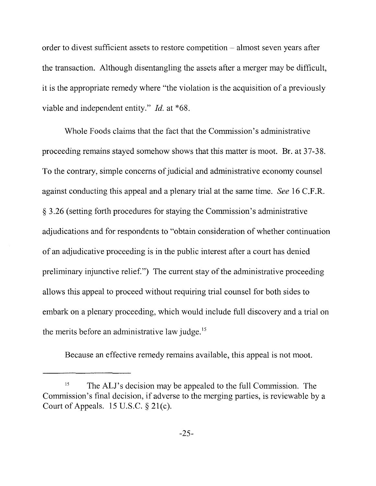order to divest sufficient assets to restore competition - almost seven years after the transaction. Although disentangling the assets after a merger may be difficult, it is the appropriate remedy where "the violation is the acquisition of a previously viable and independent entity." *Id.* at \*68.

Whole Foods claims that the fact that the Commission's administrative proceeding remains stayed somehow shows that this matter is moot. Br. at 37-38. To the contrary, simple concerns of judicial and administrative economy counsel against conducting this appeal and a plenary trial at the same time. *See* 16 C.F.R. § 3.26 (setting forth procedures for staying the Commission's administrative adjudications and for respondents to "obtain consideration of whether continuation of an adjudicative proceeding is in the public interest after a court has denied preliminary injunctive relief.") The current stay of the administrative proceeding allows this appeal to proceed without requiring trial counsel for both sides to embark on a plenary proceeding, which would include full discovery and a trial on the merits before an administrative law judge.<sup>15</sup>

Because an effective remedy remains available, this appeal is not moot.

<sup>&</sup>lt;sup>15</sup> The ALJ's decision may be appealed to the full Commission. The Commission's final decision, if adverse to the merging parties, is reviewable by a Court of Appeals.  $15$  U.S.C.  $\S 21(c)$ .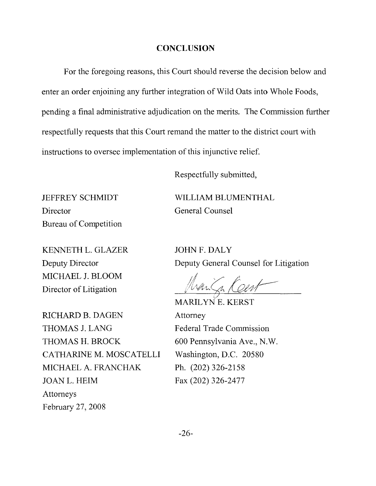#### **CONCLUSION**

For the foregoing reasons, this Court should reverse the decision below and enter an order enjoining any further integration of Wild Oats into Whole Foods, pending a final administrative adjudication on the merits. The Commission further respectfully requests that this Court remand the matter to the district court with instructions to oversee implementation of this injunctive relief.

Respectfully submitted,

JEFFREY SCHMIDT **WILLIAM** BLUMENTHAL Director General Counsel Bureau of Competition

KENNETH L. GLAZER JOHN F. DALY MICHAEL J. BLOOM Director of Litigation

RICHARD B. DAGEN Attorney THOMAS J. LANG Federal Trade Commission THOMAS H. BROCK 600 Pennsylvania Ave., N.W. CATHARINE M, MOSCATELLI Washington, D.C. 20580 MICHAEL A. FRANCHAK Ph, (202) 326-2158 JOANL. HElM Fax (202) 326-2477 Attorneys February 27, 2008

Deputy Director Deputy General Counsel for Litigation

////1/j/f/j

MARILYNE, KERST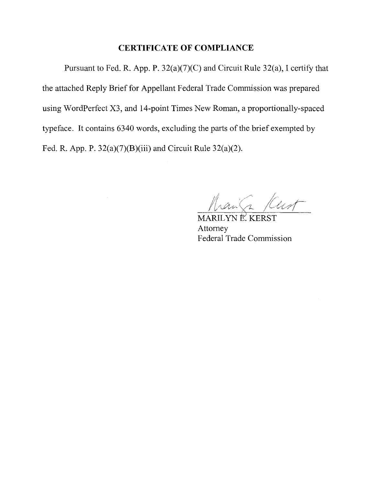#### **CERTIFICATE OF COMPLIANCE**

Pursuant to Fed. R. App. P. 32(a)(7)(C) and Circuit Rule 32(a), I certify that the attached Reply Brief for Appellant Federal Trade Commission was prepared using WordPerfect X3, and l4-point Times New Roman, a proportionally-spaced typeface. It contains 6340 words, excluding the parts of the brief exempted by Fed. R. App. P.  $32(a)(7)(B)(iii)$  and Circuit Rule  $32(a)(2)$ .

hann Kust

MARILYNE KERST Attorney **Federal Trade Commission**